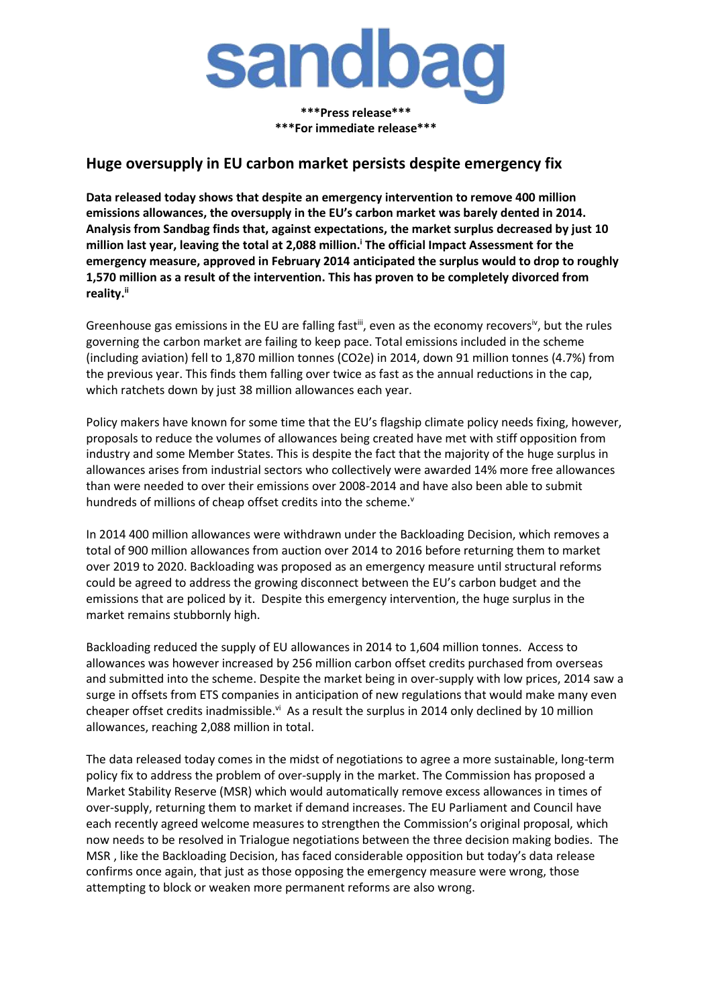

**\*\*\*Press release\*\*\* \*\*\*For immediate release\*\*\***

## **Huge oversupply in EU carbon market persists despite emergency fix**

**Data released today shows that despite an emergency intervention to remove 400 million emissions allowances, the oversupply in the EU's carbon market was barely dented in 2014. Analysis from Sandbag finds that, against expectations, the market surplus decreased by just 10 million last year, leaving the total at 2,088 million. <sup>i</sup> The official Impact Assessment for the emergency measure, approved in February 2014 anticipated the surplus would to drop to roughly 1,570 million as a result of the intervention. This has proven to be completely divorced from reality.ii**

Greenhouse gas emissions in the EU are falling fast<sup>iii</sup>, even as the economy recovers<sup>iv</sup>, but the rules governing the carbon market are failing to keep pace. Total emissions included in the scheme (including aviation) fell to 1,870 million tonnes (CO2e) in 2014, down 91 million tonnes (4.7%) from the previous year. This finds them falling over twice as fast as the annual reductions in the cap, which ratchets down by just 38 million allowances each year.

Policy makers have known for some time that the EU's flagship climate policy needs fixing, however, proposals to reduce the volumes of allowances being created have met with stiff opposition from industry and some Member States. This is despite the fact that the majority of the huge surplus in allowances arises from industrial sectors who collectively were awarded 14% more free allowances than were needed to over their emissions over 2008-2014 and have also been able to submit hundreds of millions of cheap offset credits into the scheme.<sup>v</sup>

In 2014 400 million allowances were withdrawn under the Backloading Decision, which removes a total of 900 million allowances from auction over 2014 to 2016 before returning them to market over 2019 to 2020. Backloading was proposed as an emergency measure until structural reforms could be agreed to address the growing disconnect between the EU's carbon budget and the emissions that are policed by it. Despite this emergency intervention, the huge surplus in the market remains stubbornly high.

Backloading reduced the supply of EU allowances in 2014 to 1,604 million tonnes. Access to allowances was however increased by 256 million carbon offset credits purchased from overseas and submitted into the scheme. Despite the market being in over-supply with low prices, 2014 saw a surge in offsets from ETS companies in anticipation of new regulations that would make many even cheaper offset credits inadmissible. $\mathrm{v}^i$  As a result the surplus in 2014 only declined by 10 million allowances, reaching 2,088 million in total.

The data released today comes in the midst of negotiations to agree a more sustainable, long-term policy fix to address the problem of over-supply in the market. The Commission has proposed a Market Stability Reserve (MSR) which would automatically remove excess allowances in times of over-supply, returning them to market if demand increases. The EU Parliament and Council have each recently agreed welcome measures to strengthen the Commission's original proposal, which now needs to be resolved in Trialogue negotiations between the three decision making bodies. The MSR , like the Backloading Decision, has faced considerable opposition but today's data release confirms once again, that just as those opposing the emergency measure were wrong, those attempting to block or weaken more permanent reforms are also wrong.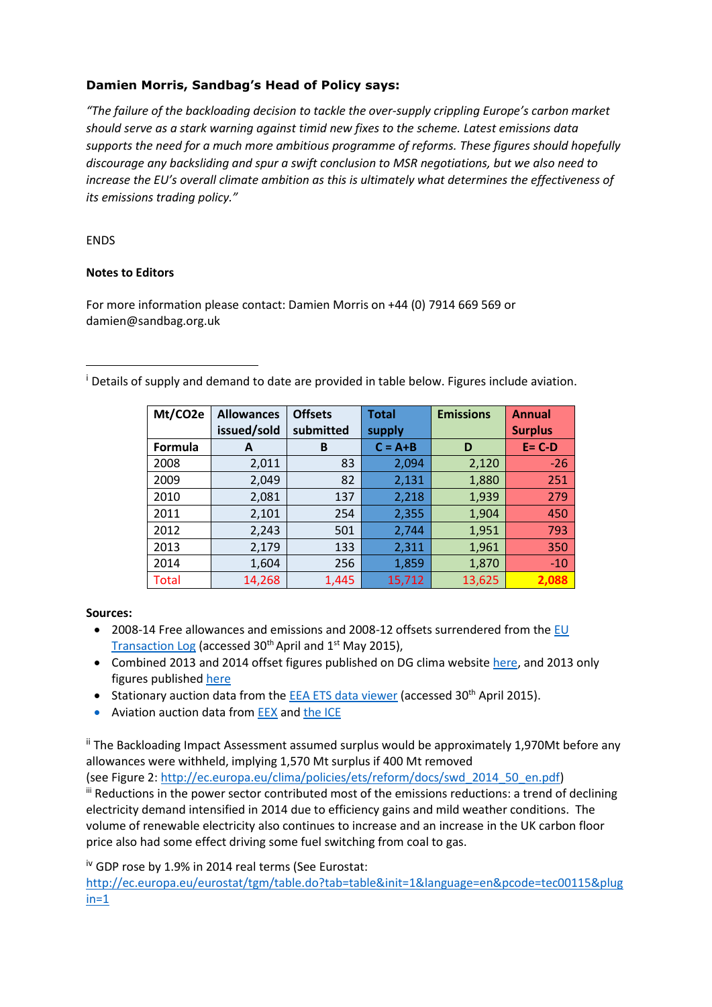## **Damien Morris, Sandbag's Head of Policy says:**

*"The failure of the backloading decision to tackle the over-supply crippling Europe's carbon market should serve as a stark warning against timid new fixes to the scheme. Latest emissions data supports the need for a much more ambitious programme of reforms. These figures should hopefully discourage any backsliding and spur a swift conclusion to MSR negotiations, but we also need to increase the EU's overall climate ambition as this is ultimately what determines the effectiveness of its emissions trading policy."*

## ENDS

**.** 

## **Notes to Editors**

For more information please contact: Damien Morris on +44 (0) 7914 669 569 or damien@sandbag.org.uk

<sup>i</sup> Details of supply and demand to date are provided in table below. Figures include aviation.

| Mt/CO2e | <b>Allowances</b> | <b>Offsets</b> | <b>Total</b> | <b>Emissions</b> | <b>Annual</b>  |
|---------|-------------------|----------------|--------------|------------------|----------------|
|         | issued/sold       | submitted      | supply       |                  | <b>Surplus</b> |
| Formula | A                 | B              | $C = A + B$  | D                | $E = C-D$      |
| 2008    | 2,011             | 83             | 2,094        | 2,120            | $-26$          |
| 2009    | 2,049             | 82             | 2,131        | 1,880            | 251            |
| 2010    | 2,081             | 137            | 2,218        | 1,939            | 279            |
| 2011    | 2,101             | 254            | 2,355        | 1,904            | 450            |
| 2012    | 2,243             | 501            | 2,744        | 1,951            | 793            |
| 2013    | 2,179             | 133            | 2,311        | 1,961            | 350            |
| 2014    | 1,604             | 256            | 1,859        | 1,870            | $-10$          |
| Total   | 14,268            | 1,445          | 15,712       | 13,625           | 2,088          |

**Sources:**

- 2008-14 Free allowances and emissions and 2008-12 offsets surrendered from the EU [Transaction Log](http://ec.europa.eu/environment/ets/) (accessed 30<sup>th</sup> April and 1<sup>st</sup> May 2015),
- Combined 2013 and 2014 offset figures published on DG clima website [here,](http://ec.europa.eu/clima/news/articles/news_2014110401_en.htm) and 2013 only figures publishe[d here](http://ec.europa.eu/clima/policies/ets/registry/docs/exchanged_credits_2013_en.xlsx)
- Stationary auction data from the **EEA ETS data viewer** (accessed 30<sup>th</sup> April 2015).
- Aviation auction data from **EEX** an[d the ICE](https://www.theice.com/marketdata/reports/149)

ii The Backloading Impact Assessment assumed surplus would be approximately 1,970Mt before any allowances were withheld, implying 1,570 Mt surplus if 400 Mt removed

(see Figure 2: [http://ec.europa.eu/clima/policies/ets/reform/docs/swd\\_2014\\_50\\_en.pdf\)](http://ec.europa.eu/clima/policies/ets/reform/docs/swd_2014_50_en.pdf) iii Reductions in the power sector contributed most of the emissions reductions: a trend of declining electricity demand intensified in 2014 due to efficiency gains and mild weather conditions. The volume of renewable electricity also continues to increase and an increase in the UK carbon floor price also had some effect driving some fuel switching from coal to gas.

iv GDP rose by 1.9% in 2014 real terms (See Eurostat:

[http://ec.europa.eu/eurostat/tgm/table.do?tab=table&init=1&language=en&pcode=tec00115&plug](http://ec.europa.eu/eurostat/tgm/table.do?tab=table&init=1&language=en&pcode=tec00115&plugin=1)  $in=1$